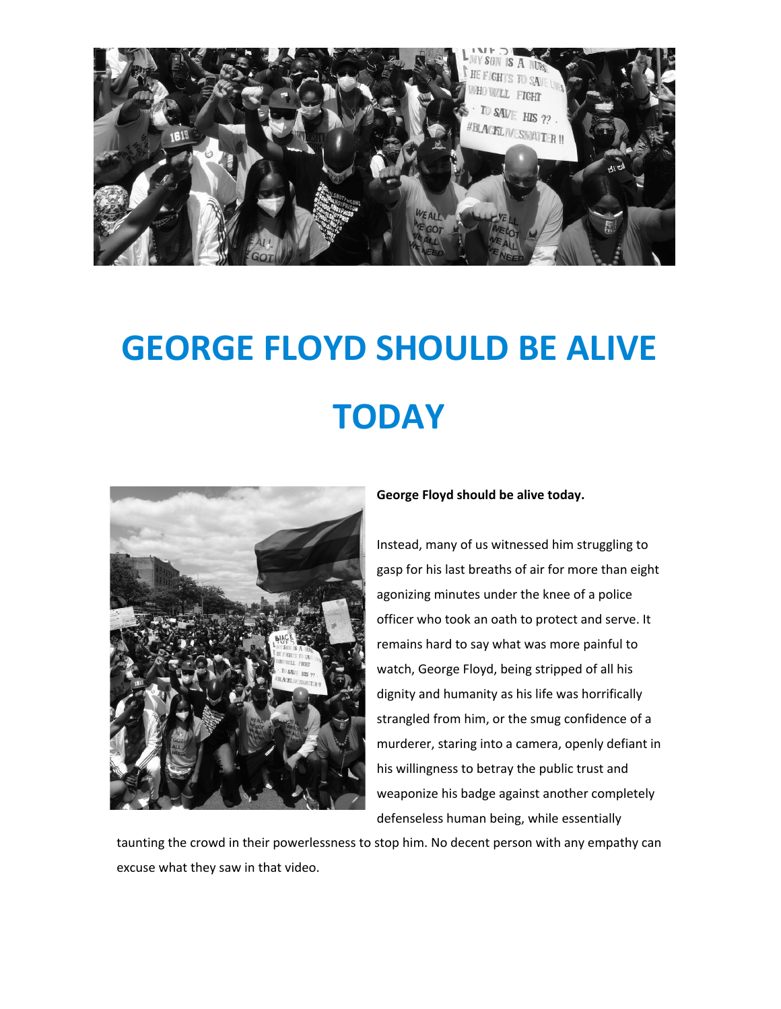

## GEORGE FLOYD SHOULD BE ALIVE **TODAY**



George Floyd should be alive today.

Instead, many of us witnessed him struggling to gasp for his last breaths of air for more than eight agonizing minutes under the knee of a police officer who took an oath to protect and serve. It remains hard to say what was more painful to watch, George Floyd, being stripped of all his dignity and humanity as his life was horrifically strangled from him, or the smug confidence of a murderer, staring into a camera, openly defiant in his willingness to betray the public trust and weaponize his badge against another completely defenseless human being, while essentially

taunting the crowd in their powerlessness to stop him. No decent person with any empathy can excuse what they saw in that video.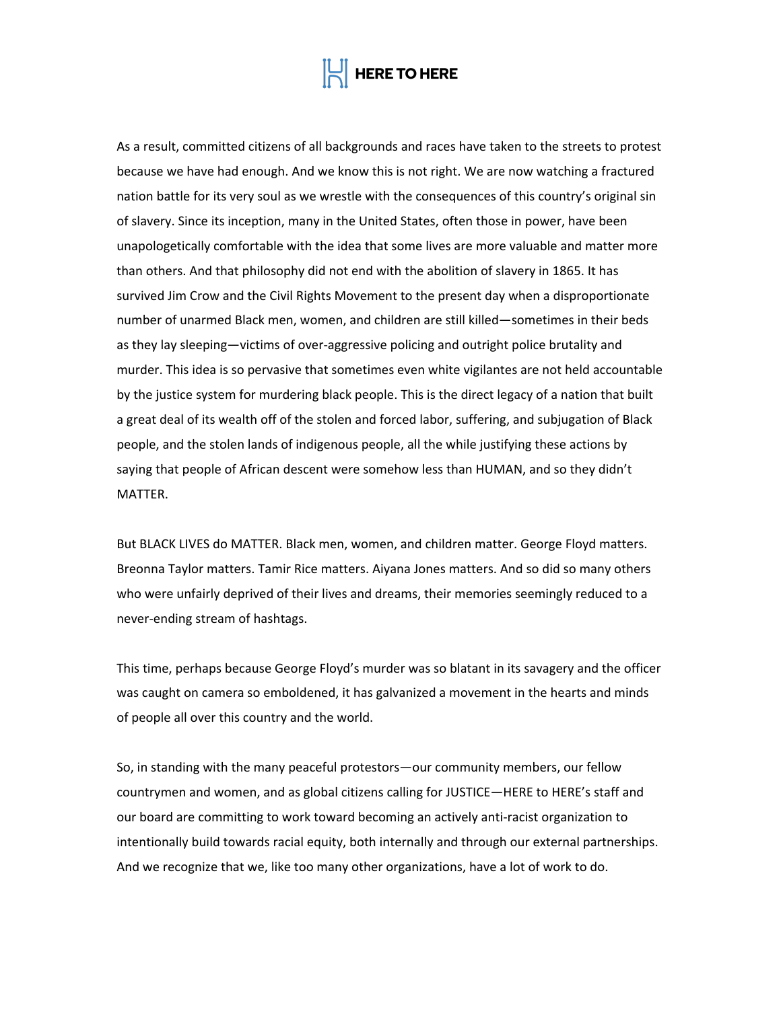

As a result, committed citizens of all backgrounds and races have taken to the streets to protest because we have had enough. And we know this is not right. We are now watching a fractured nation battle for its very soul as we wrestle with the consequences of this country's original sin of slavery. Since its inception, many in the United States, often those in power, have been unapologetically comfortable with the idea that some lives are more valuable and matter more than others. And that philosophy did not end with the abolition of slavery in 1865. It has survived Jim Crow and the Civil Rights Movement to the present day when a disproportionate number of unarmed Black men, women, and children are still killed—sometimes in their beds as they lay sleeping—victims of over-aggressive policing and outright police brutality and murder. This idea is so pervasive that sometimes even white vigilantes are not held accountable by the justice system for murdering black people. This is the direct legacy of a nation that built a great deal of its wealth off of the stolen and forced labor, suffering, and subjugation of Black people, and the stolen lands of indigenous people, all the while justifying these actions by saying that people of African descent were somehow less than HUMAN, and so they didn't MATTER.

But BLACK LIVES do MATTER. Black men, women, and children matter. George Floyd matters. Breonna Taylor matters. Tamir Rice matters. Aiyana Jones matters. And so did so many others who were unfairly deprived of their lives and dreams, their memories seemingly reduced to a never-ending stream of hashtags.

This time, perhaps because George Floyd's murder was so blatant in its savagery and the officer was caught on camera so emboldened, it has galvanized a movement in the hearts and minds of people all over this country and the world.

So, in standing with the many peaceful protestors—our community members, our fellow countrymen and women, and as global citizens calling for JUSTICE—HERE to HERE's staff and our board are committing to work toward becoming an actively anti-racist organization to intentionally build towards racial equity, both internally and through our external partnerships. And we recognize that we, like too many other organizations, have a lot of work to do.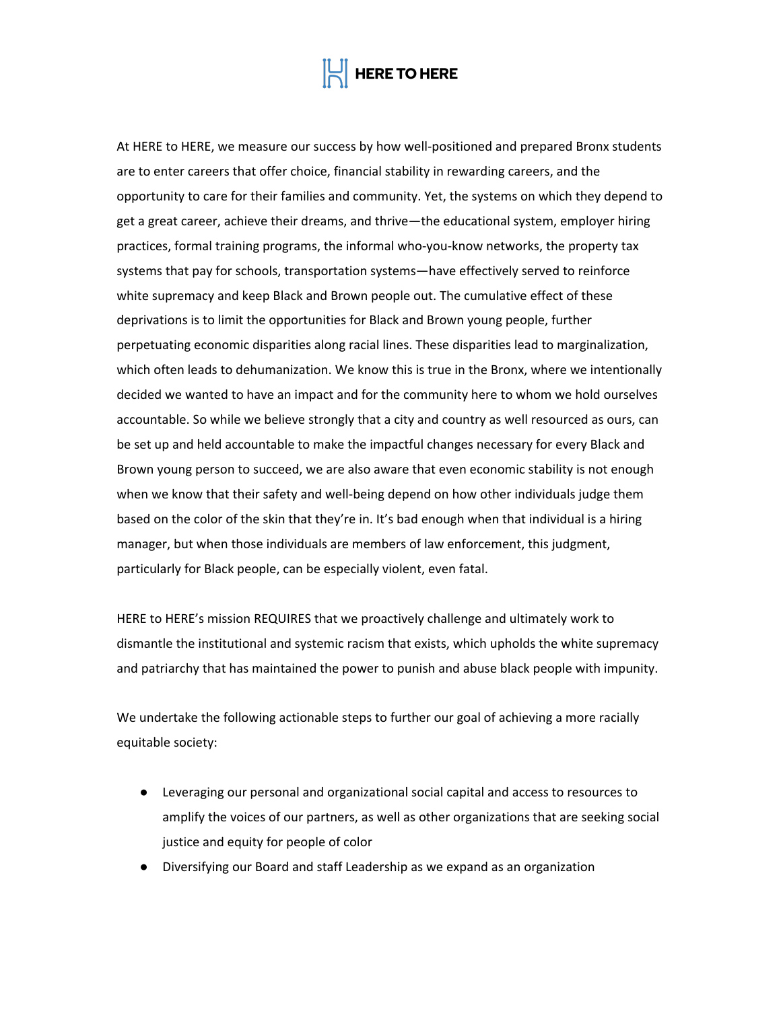## **HERE TO HERE**

At HERE to HERE, we measure our success by how well-positioned and prepared Bronx students are to enter careers that offer choice, financial stability in rewarding careers, and the opportunity to care for their families and community. Yet, the systems on which they depend to get a great career, achieve their dreams, and thrive—the educational system, employer hiring practices, formal training programs, the informal who-you-know networks, the property tax systems that pay for schools, transportation systems—have effectively served to reinforce white supremacy and keep Black and Brown people out. The cumulative effect of these deprivations is to limit the opportunities for Black and Brown young people, further perpetuating economic disparities along racial lines. These disparities lead to marginalization, which often leads to dehumanization. We know this is true in the Bronx, where we intentionally decided we wanted to have an impact and for the community here to whom we hold ourselves accountable. So while we believe strongly that a city and country as well resourced as ours, can be set up and held accountable to make the impactful changes necessary for every Black and Brown young person to succeed, we are also aware that even economic stability is not enough when we know that their safety and well-being depend on how other individuals judge them based on the color of the skin that they're in. It's bad enough when that individual is a hiring manager, but when those individuals are members of law enforcement, this judgment, particularly for Black people, can be especially violent, even fatal.

HERE to HERE's mission REQUIRES that we proactively challenge and ultimately work to dismantle the institutional and systemic racism that exists, which upholds the white supremacy and patriarchy that has maintained the power to punish and abuse black people with impunity.

We undertake the following actionable steps to further our goal of achieving a more racially equitable society:

- Leveraging our personal and organizational social capital and access to resources to amplify the voices of our partners, as well as other organizations that are seeking social justice and equity for people of color
- Diversifying our Board and staff Leadership as we expand as an organization